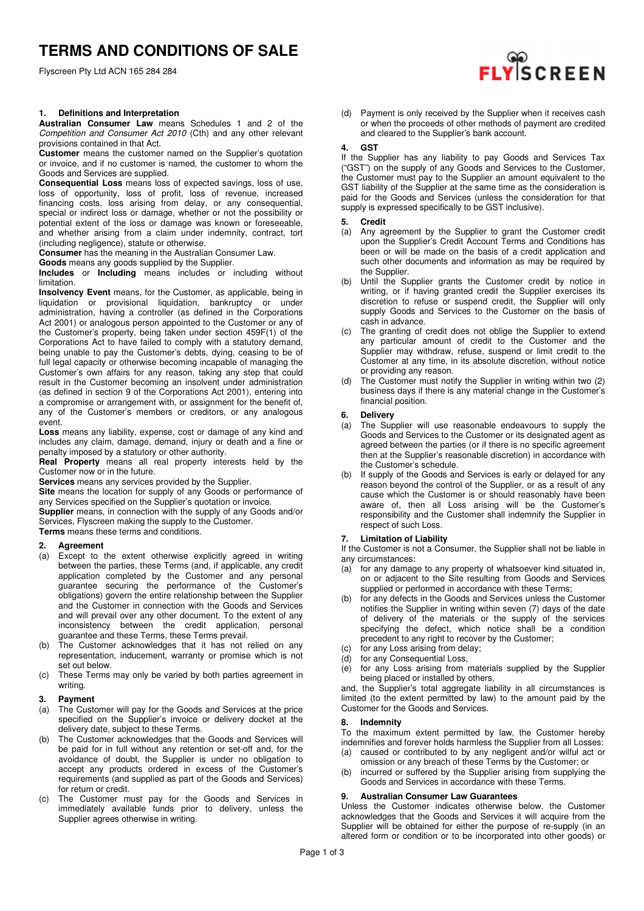Flyscreen Pty Ltd ACN 165 284 284

# **1. Definitions and Interpretation**

**Australian Consumer Law** means Schedules 1 and 2 of the Competition and Consumer Act 2010 (Cth) and any other relevant provisions contained in that Act.

**Customer** means the customer named on the Supplier's quotation or invoice, and if no customer is named, the customer to whom the Goods and Services are supplied.

**Consequential Loss** means loss of expected savings, loss of use, loss of opportunity, loss of profit, loss of revenue, increased financing costs, loss arising from delay, or any consequential, special or indirect loss or damage, whether or not the possibility or potential extent of the loss or damage was known or foreseeable, and whether arising from a claim under indemnity, contract, tort (including negligence), statute or otherwise.

**Consumer** has the meaning in the Australian Consumer Law.

**Goods** means any goods supplied by the Supplier.

**Includes** or **Including** means includes or including without limitation.

**Insolvency Event** means, for the Customer, as applicable, being in liquidation or provisional liquidation, bankruptcy or under administration, having a controller (as defined in the Corporations Act 2001) or analogous person appointed to the Customer or any of the Customer's property, being taken under section 459F(1) of the Corporations Act to have failed to comply with a statutory demand, being unable to pay the Customer's debts, dying, ceasing to be of full legal capacity or otherwise becoming incapable of managing the Customer's own affairs for any reason, taking any step that could result in the Customer becoming an insolvent under administration (as defined in section 9 of the Corporations Act 2001), entering into a compromise or arrangement with, or assignment for the benefit of, any of the Customer's members or creditors, or any analogous event.

**Loss** means any liability, expense, cost or damage of any kind and includes any claim, damage, demand, injury or death and a fine or penalty imposed by a statutory or other authority.

**Real Property** means all real property interests held by the Customer now or in the future.

**Services** means any services provided by the Supplier.

**Site** means the location for supply of any Goods or performance of any Services specified on the Supplier's quotation or invoice.

**Supplier** means, in connection with the supply of any Goods and/or Services, Flyscreen making the supply to the Customer.

**Terms** means these terms and conditions.

- **2. Agreement**  Except to the extent otherwise explicitly agreed in writing between the parties, these Terms (and, if applicable, any credit application completed by the Customer and any personal guarantee securing the performance of the Customer's obligations) govern the entire relationship between the Supplier and the Customer in connection with the Goods and Services and will prevail over any other document. To the extent of any inconsistency between the credit application, personal guarantee and these Terms, these Terms prevail.
- (b) The Customer acknowledges that it has not relied on any representation, inducement, warranty or promise which is not set out below.
- (c) These Terms may only be varied by both parties agreement in writing.

#### **3. Payment**

- (a) The Customer will pay for the Goods and Services at the price specified on the Supplier's invoice or delivery docket at the delivery date, subject to these Terms.
- (b) The Customer acknowledges that the Goods and Services will be paid for in full without any retention or set-off and, for the avoidance of doubt, the Supplier is under no obligation to accept any products ordered in excess of the Customer's requirements (and supplied as part of the Goods and Services) for return or credit.
- (c) The Customer must pay for the Goods and Services in immediately available funds prior to delivery, unless the Supplier agrees otherwise in writing.



(d) Payment is only received by the Supplier when it receives cash or when the proceeds of other methods of payment are credited and cleared to the Supplier's bank account.

### **4. GST**

If the Supplier has any liability to pay Goods and Services Tax ("GST") on the supply of any Goods and Services to the Customer, the Customer must pay to the Supplier an amount equivalent to the GST liability of the Supplier at the same time as the consideration is paid for the Goods and Services (unless the consideration for that supply is expressed specifically to be GST inclusive).

# **5. Credit** (a) Any ag

- Any agreement by the Supplier to grant the Customer credit upon the Supplier's Credit Account Terms and Conditions has been or will be made on the basis of a credit application and such other documents and information as may be required by the Supplier.
- (b) Until the Supplier grants the Customer credit by notice in writing, or if having granted credit the Supplier exercises its discretion to refuse or suspend credit, the Supplier will only supply Goods and Services to the Customer on the basis of cash in advance.
- (c) The granting of credit does not oblige the Supplier to extend any particular amount of credit to the Customer and the Supplier may withdraw, refuse, suspend or limit credit to the Customer at any time, in its absolute discretion, without notice or providing any reason.
- (d) The Customer must notify the Supplier in writing within two (2) business days if there is any material change in the Customer's financial position.

#### **6. Delivery**

- (a) The Supplier will use reasonable endeavours to supply the Goods and Services to the Customer or its designated agent as agreed between the parties (or if there is no specific agreement then at the Supplier's reasonable discretion) in accordance with the Customer's schedule.
- (b) If supply of the Goods and Services is early or delayed for any reason beyond the control of the Supplier, or as a result of any cause which the Customer is or should reasonably have been aware of, then all Loss arising will be the Customer's responsibility and the Customer shall indemnify the Supplier in respect of such Loss.

# **7. Limitation of Liability**

If the Customer is not a Consumer, the Supplier shall not be liable in any circumstances:

- (a) for any damage to any property of whatsoever kind situated in, on or adjacent to the Site resulting from Goods and Services supplied or performed in accordance with these Terms;
- (b) for any defects in the Goods and Services unless the Customer notifies the Supplier in writing within seven (7) days of the date of delivery of the materials or the supply of the services specifying the defect, which notice shall be a condition precedent to any right to recover by the Customer;
- (c) for any Loss arising from delay;
- (d) for any Consequential Loss,
- (e) for any Loss arising from materials supplied by the Supplier being placed or installed by others,

and, the Supplier's total aggregate liability in all circumstances is limited (to the extent permitted by law) to the amount paid by the Customer for the Goods and Services.

#### **8. Indemnity**

To the maximum extent permitted by law, the Customer hereby indemnifies and forever holds harmless the Supplier from all Losses: (a) caused or contributed to by any negligent and/or wilful act or

- omission or any breach of these Terms by the Customer; or
- (b) incurred or suffered by the Supplier arising from supplying the Goods and Services in accordance with these Terms.

#### **9. Australian Consumer Law Guarantees**

Unless the Customer indicates otherwise below, the Customer acknowledges that the Goods and Services it will acquire from the Supplier will be obtained for either the purpose of re-supply (in an altered form or condition or to be incorporated into other goods) or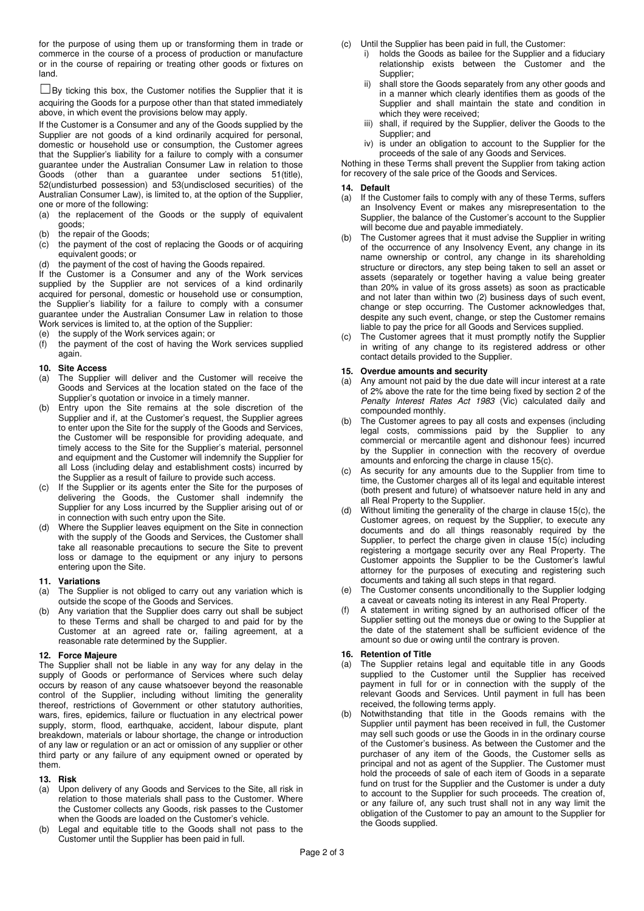for the purpose of using them up or transforming them in trade or commerce in the course of a process of production or manufacture or in the course of repairing or treating other goods or fixtures on land.

 $\square$ By ticking this box, the Customer notifies the Supplier that it is acquiring the Goods for a purpose other than that stated immediately above, in which event the provisions below may apply.

If the Customer is a Consumer and any of the Goods supplied by the Supplier are not goods of a kind ordinarily acquired for personal, domestic or household use or consumption, the Customer agrees that the Supplier's liability for a failure to comply with a consumer guarantee under the Australian Consumer Law in relation to those Goods (other than a guarantee under sections 51(title), 52(undisturbed possession) and 53(undisclosed securities) of the Australian Consumer Law), is limited to, at the option of the Supplier, one or more of the following:

- (a) the replacement of the Goods or the supply of equivalent goods;
- (b) the repair of the Goods;
- (c) the payment of the cost of replacing the Goods or of acquiring equivalent goods; or
- (d) the payment of the cost of having the Goods repaired.

If the Customer is a Consumer and any of the Work services supplied by the Supplier are not services of a kind ordinarily acquired for personal, domestic or household use or consumption, the Supplier's liability for a failure to comply with a consumer guarantee under the Australian Consumer Law in relation to those Work services is limited to, at the option of the Supplier:

- (e) the supply of the Work services again; or
- (f) the payment of the cost of having the Work services supplied again.

#### **10. Site Access**

- (a) The Supplier will deliver and the Customer will receive the Goods and Services at the location stated on the face of the Supplier's quotation or invoice in a timely manner.
- (b) Entry upon the Site remains at the sole discretion of the Supplier and if, at the Customer's request, the Supplier agrees to enter upon the Site for the supply of the Goods and Services, the Customer will be responsible for providing adequate, and timely access to the Site for the Supplier's material, personnel and equipment and the Customer will indemnify the Supplier for all Loss (including delay and establishment costs) incurred by the Supplier as a result of failure to provide such access.
- (c) If the Supplier or its agents enter the Site for the purposes of delivering the Goods, the Customer shall indemnify the Supplier for any Loss incurred by the Supplier arising out of or in connection with such entry upon the Site.
- (d) Where the Supplier leaves equipment on the Site in connection with the supply of the Goods and Services, the Customer shall take all reasonable precautions to secure the Site to prevent loss or damage to the equipment or any injury to persons entering upon the Site.

#### **11. Variations**

- (a) The Supplier is not obliged to carry out any variation which is outside the scope of the Goods and Services.
- (b) Any variation that the Supplier does carry out shall be subject to these Terms and shall be charged to and paid for by the Customer at an agreed rate or, failing agreement, at a reasonable rate determined by the Supplier.

#### **12. Force Majeure**

The Supplier shall not be liable in any way for any delay in the supply of Goods or performance of Services where such delay occurs by reason of any cause whatsoever beyond the reasonable control of the Supplier, including without limiting the generality thereof, restrictions of Government or other statutory authorities, wars, fires, epidemics, failure or fluctuation in any electrical power supply, storm, flood, earthquake, accident, labour dispute, plant breakdown, materials or labour shortage, the change or introduction of any law or regulation or an act or omission of any supplier or other third party or any failure of any equipment owned or operated by them.

# **13. Risk**

- (a) Upon delivery of any Goods and Services to the Site, all risk in relation to those materials shall pass to the Customer. Where the Customer collects any Goods, risk passes to the Customer when the Goods are loaded on the Customer's vehicle.
- (b) Legal and equitable title to the Goods shall not pass to the Customer until the Supplier has been paid in full.
- (c) Until the Supplier has been paid in full, the Customer:
	- holds the Goods as bailee for the Supplier and a fiduciary relationship exists between the Customer and the Supplier;
	- ii) shall store the Goods separately from any other goods and in a manner which clearly identifies them as goods of the Supplier and shall maintain the state and condition in which they were received;
	- iii) shall, if required by the Supplier, deliver the Goods to the Supplier; and
	- iv) is under an obligation to account to the Supplier for the proceeds of the sale of any Goods and Services.

Nothing in these Terms shall prevent the Supplier from taking action for recovery of the sale price of the Goods and Services.

# **14. Default**

- (a) If the Customer fails to comply with any of these Terms, suffers an Insolvency Event or makes any misrepresentation to the Supplier, the balance of the Customer's account to the Supplier will become due and payable immediately.
- The Customer agrees that it must advise the Supplier in writing of the occurrence of any Insolvency Event, any change in its name ownership or control, any change in its shareholding structure or directors, any step being taken to sell an asset or assets (separately or together having a value being greater than 20% in value of its gross assets) as soon as practicable and not later than within two (2) business days of such event, change or step occurring. The Customer acknowledges that, despite any such event, change, or step the Customer remains liable to pay the price for all Goods and Services supplied.
- The Customer agrees that it must promptly notify the Supplier in writing of any change to its registered address or other contact details provided to the Supplier.

#### **15. Overdue amounts and security**

- (a) Any amount not paid by the due date will incur interest at a rate of 2% above the rate for the time being fixed by section 2 of the Penalty Interest Rates Act 1983 (Vic) calculated daily and compounded monthly.
- The Customer agrees to pay all costs and expenses (including legal costs, commissions paid by the Supplier to any commercial or mercantile agent and dishonour fees) incurred by the Supplier in connection with the recovery of overdue amounts and enforcing the charge in clause 15(c).
- As security for any amounts due to the Supplier from time to time, the Customer charges all of its legal and equitable interest (both present and future) of whatsoever nature held in any and all Real Property to the Supplier.
- (d) Without limiting the generality of the charge in clause 15(c), the Customer agrees, on request by the Supplier, to execute any documents and do all things reasonably required by the Supplier, to perfect the charge given in clause 15(c) including registering a mortgage security over any Real Property. The Customer appoints the Supplier to be the Customer's lawful attorney for the purposes of executing and registering such documents and taking all such steps in that regard.
- (e) The Customer consents unconditionally to the Supplier lodging a caveat or caveats noting its interest in any Real Property.
- A statement in writing signed by an authorised officer of the Supplier setting out the moneys due or owing to the Supplier at the date of the statement shall be sufficient evidence of the amount so due or owing until the contrary is proven.

#### **16. Retention of Title**

- (a) The Supplier retains legal and equitable title in any Goods supplied to the Customer until the Supplier has received payment in full for or in connection with the supply of the relevant Goods and Services. Until payment in full has been received, the following terms apply.
- Notwithstanding that title in the Goods remains with the Supplier until payment has been received in full, the Customer may sell such goods or use the Goods in in the ordinary course of the Customer's business. As between the Customer and the purchaser of any item of the Goods, the Customer sells as principal and not as agent of the Supplier. The Customer must hold the proceeds of sale of each item of Goods in a separate fund on trust for the Supplier and the Customer is under a duty to account to the Supplier for such proceeds. The creation of, or any failure of, any such trust shall not in any way limit the obligation of the Customer to pay an amount to the Supplier for the Goods supplied.